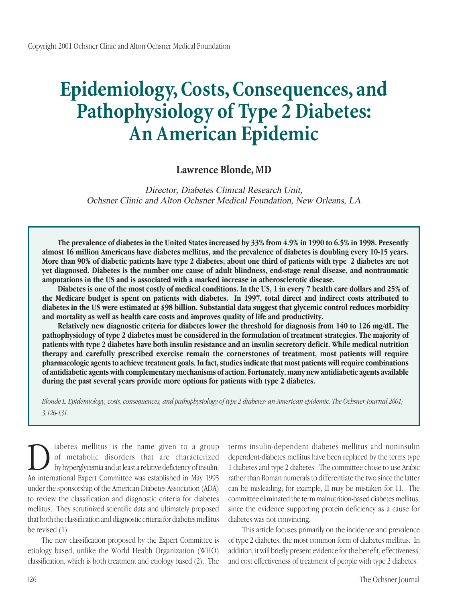# **Epidemiology, Costs, Consequences, and Pathophysiology of Type 2 Diabetes: An American Epidemic**

# **Lawrence Blonde, MD**

Director, Diabetes Clinical Research Unit, Ochsner Clinic and Alton Ochsner Medical Foundation, New Orleans, LA

**The prevalence of diabetes in the United States increased by 33% from 4.9% in 1990 to 6.5% in 1998. Presently almost 16 million Americans have diabetes mellitus, and the prevalence of diabetes is doubling every 10-15 years. More than 90% of diabetic patients have type 2 diabetes; about one third of patients with type2 diabetes are not yet diagnosed. Diabetes is the number one cause of adult blindness, end-stage renal disease, and nontraumatic amputations in the US and is associated with a marked increase in atherosclerotic disease.**

**Diabetes is one of the most costly of medical conditions. In the US, 1 in every 7 health care dollars and 25% of the Medicare budget is spent on patients with diabetes. In 1997, total direct and indirect costs attributed to diabetes in the US were estimated at \$98 billion. Substantial data suggest that glycemic control reduces morbidity and mortality as well as health care costs and improves quality of life and productivity.**

**Relatively new diagnostic criteria for diabetes lower the threshold for diagnosis from 140 to 126 mg/dL. The pathophysiology of type 2 diabetes must be considered in the formulation of treatment strategies. The majority of patients with type 2 diabetes have both insulin resistance and an insulin secretory deficit. While medical nutrition therapy and carefully prescribed exercise remain the cornerstones of treatment, most patients will require pharmacologic agents to achieve treatment goals. In fact, studies indicate that most patients will require combinations of antidiabetic agents with complementary mechanisms of action. Fortunately, many new antidiabetic agents available during the past several years provide more options for patients with type 2 diabetes.**

*Blonde L. Epidemiology, costs, consequences, and pathophysiology of type 2 diabetes: an American epidemic. The Ochsner Journal 2001; 3:126-131.*

Duabetes mellitus is the name given to a group<br>of metabolic disorders that are characterized<br>by hyperglycemia and at least a relative deficiency of insulin.<br>An international Expert Committee was established in May 1995 of metabolic disorders that are characterized by hyperglycemia and at least a relative deficiency of insulin. An international Expert Committee was established in May 1995 under the sponsorship of the American Diabetes Association (ADA) to review the classification and diagnostic criteria for diabetes mellitus. They scrutinized scientific data and ultimately proposed that both the classification and diagnostic criteria for diabetes mellitus be revised (1).

The new classification proposed by the Expert Committee is etiology based, unlike the World Health Organization (WHO) classification, which is both treatment and etiology based (2). The terms insulin-dependent diabetes mellitus and noninsulin dependent-diabetes mellitus have been replaced by the terms type 1 diabetes and type 2 diabetes. The committee chose to use Arabic rather than Roman numerals to differentiate the two since the latter can be misleading; for example, II may be mistaken for 11. The committee eliminated the term malnutrition-based diabetes mellitus, since the evidence supporting protein deficiency as a cause for diabetes was not convincing.

This article focuses primarily on the incidence and prevalence of type 2 diabetes, the most common form of diabetes mellitus. In addition, it will briefly present evidence for the benefit, effectiveness, and cost effectiveness of treatment of people with type 2 diabetes.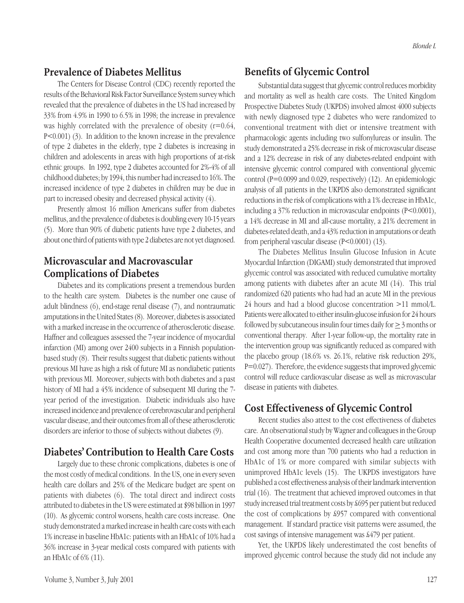# **Prevalence of Diabetes Mellitus**

The Centers for Disease Control (CDC) recently reported the results of the Behavioral Risk Factor Surveillance System survey which revealed that the prevalence of diabetes in the US had increased by 33% from 4.9% in 1990 to 6.5% in 1998; the increase in prevalence was highly correlated with the prevalence of obesity (r=0.64, P<0.001) (3). In addition to the known increase in the prevalence of type 2 diabetes in the elderly, type 2 diabetes is increasing in children and adolescents in areas with high proportions of at-risk ethnic groups. In 1992, type 2 diabetes accounted for 2%-4% of all childhood diabetes; by 1994, this number had increased to 16%. The increased incidence of type 2 diabetes in children may be due in part to increased obesity and decreased physical activity (4).

Presently almost 16 million Americans suffer from diabetes mellitus, and the prevalence of diabetes is doubling every 10-15 years (5). More than 90% of diabetic patients have type 2 diabetes, and about one third of patients with type 2 diabetes are not yet diagnosed.

# **Microvascular and Macrovascular Complications of Diabetes**

Diabetes and its complications present a tremendous burden to the health care system. Diabetes is the number one cause of adult blindness (6), end-stage renal disease (7), and nontraumatic amputations in the United States (8). Moreover, diabetes is associated with a marked increase in the occurrence of atherosclerotic disease. Haffner and colleagues assessed the 7-year incidence of myocardial infarction (MI) among over 2400 subjects in a Finnish populationbased study (8). Their results suggest that diabetic patients without previous MI have as high a risk of future MI as nondiabetic patients with previous MI. Moreover, subjects with both diabetes and a past history of MI had a 45% incidence of subsequent MI during the 7 year period of the investigation. Diabetic individuals also have increased incidence and prevalence of cerebrovascular and peripheral vascular disease, and their outcomes from all of these atherosclerotic disorders are inferior to those of subjects without diabetes (9).

### **Diabetes' Contribution to Health Care Costs**

Largely due to these chronic complications, diabetes is one of the most costly of medical conditions. In the US, one in every seven health care dollars and 25% of the Medicare budget are spent on patients with diabetes (6). The total direct and indirect costs attributed to diabetes in the US were estimated at \$98 billion in 1997 (10). As glycemic control worsens, health care costs increase. One study demonstrated a marked increase in health care costs with each 1% increase in baseline HbA1c: patients with an HbA1c of 10% had a 36% increase in 3-year medical costs compared with patients with an HbA1c of 6% (11).

Substantial data suggest that glycemic control reduces morbidity and mortality as well as health care costs. The United Kingdom Prospective Diabetes Study (UKPDS) involved almost 4000 subjects with newly diagnosed type 2 diabetes who were randomized to conventional treatment with diet or intensive treatment with pharmacologic agents including two sulfonylureas or insulin. The study demonstrated a 25% decrease in risk of microvascular disease and a 12% decrease in risk of any diabetes-related endpoint with intensive glycemic control compared with conventional glycemic control (P=0.0099 and 0.029, respectively) (12). An epidemiologic analysis of all patients in the UKPDS also demonstrated significant reductions in the risk of complications with a 1% decrease in HbA1c, including a 37% reduction in microvascular endpoints (P<0.0001), a 14% decrease in MI and all-cause mortality, a 21% decrement in diabetes-related death, and a 43% reduction in amputations or death from peripheral vascular disease (P<0.0001) (13).

The Diabetes Mellitus Insulin Glucose Infusion in Acute Myocardial Infarction (DIGAMI) study demonstrated that improved glycemic control was associated with reduced cumulative mortality among patients with diabetes after an acute MI (14). This trial randomized 620 patients who had had an acute MI in the previous 24 hours and had a blood glucose concentration >11 mmol/L. Patients were allocated to either insulin-glucose infusion for 24 hours followed by subcutaneous insulin four times daily for > 3 months or conventional therapy. After 1-year follow-up, the mortality rate in the intervention group was significantly reduced as compared with the placebo group (18.6% vs. 26.1%, relative risk reduction 29%, P=0.027). Therefore, the evidence suggests that improved glycemic control will reduce cardiovascular disease as well as microvascular disease in patients with diabetes.

## **Cost Effectiveness of Glycemic Control**

Recent studies also attest to the cost effectiveness of diabetes care. An observational study by Wagner and colleagues in the Group Health Cooperative documented decreased health care utilization and cost among more than 700 patients who had a reduction in HbA1c of 1% or more compared with similar subjects with unimproved HbA1c levels (15). The UKPDS investigators have published a cost effectiveness analysis of their landmark intervention trial (16). The treatment that achieved improved outcomes in that study increased trial treatment costs by £695 per patient but reduced the cost of complications by £957 compared with conventional management. If standard practice visit patterns were assumed, the cost savings of intensive management was £479 per patient.

Yet, the UKPDS likely underestimated the cost benefits of improved glycemic control because the study did not include any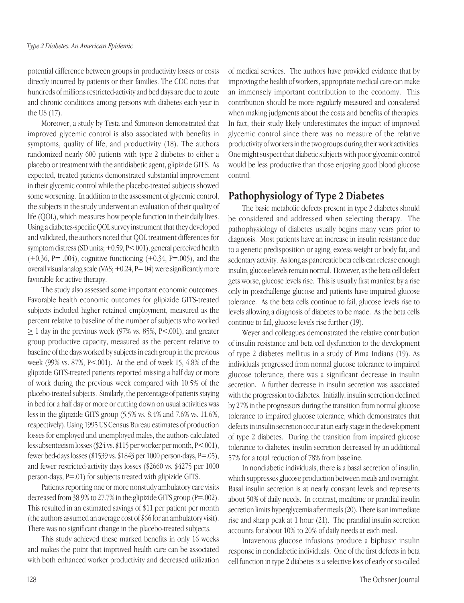potential difference between groups in productivity losses or costs directly incurred by patients or their families. The CDC notes that hundreds of millions restricted-activity and bed days are due to acute and chronic conditions among persons with diabetes each year in the US (17).

Moreover, a study by Testa and Simonson demonstrated that improved glycemic control is also associated with benefits in symptoms, quality of life, and productivity (18). The authors randomized nearly 600 patients with type 2 diabetes to either a placebo or treatment with the antidiabetic agent, glipizide GITS. As expected, treated patients demonstrated substantial improvement in their glycemic control while the placebo-treated subjects showed some worsening. In addition to the assessment of glycemic control, the subjects in the study underwent an evaluation of their quality of life (QOL), which measures how people function in their daily lives. Using a diabetes-specific QOL survey instrument that they developed and validated, the authors noted that QOL treatment differences for symptom distress (SD units; +0.59, P<.001), general perceived health  $(+0.36, P=.004)$ , cognitive functioning  $(+0.34, P=.005)$ , and the overall visual analog scale (VAS; +0.24, P=.04) were significantly more favorable for active therapy.

The study also assessed some important economic outcomes. Favorable health economic outcomes for glipizide GITS-treated subjects included higher retained employment, measured as the percent relative to baseline of the number of subjects who worked  $\geq$  1 day in the previous week (97% vs. 85%, P<.001), and greater group productive capacity, measured as the percent relative to baseline of the days worked by subjects in each group in the previous week (99% vs. 87%, P<.001). At the end of week 15, 4.8% of the glipizide GITS-treated patients reported missing a half day or more of work during the previous week compared with 10.5% of the placebo-treated subjects. Similarly, the percentage of patients staying in bed for a half day or more or cutting down on usual activities was less in the glipizide GITS group (5.5% vs. 8.4% and 7.6% vs. 11.6%, respectively). Using 1995 US Census Bureau estimates of production losses for employed and unemployed males, the authors calculated less absenteeism losses (\$24 vs. \$115 per worker per month, P<.001), fewer bed-days losses (\$1539 vs. \$1843 per 1000 person-days, P=.05), and fewer restricted-activity days losses (\$2660 vs. \$4275 per 1000 person-days, P=.01) for subjects treated with glipizide GITS.

Patients reporting one or more nonstudy ambulatory care visits decreased from 38.9% to 27.7% in the glipizide GITS group (P=.002). This resulted in an estimated savings of \$11 per patient per month (the authors assumed an average cost of \$66 for an ambulatory visit). There was no significant change in the placebo-treated subjects.

This study achieved these marked benefits in only 16 weeks and makes the point that improved health care can be associated with both enhanced worker productivity and decreased utilization

of medical services. The authors have provided evidence that by improving the health of workers, appropriate medical care can make an immensely important contribution to the economy. This contribution should be more regularly measured and considered when making judgments about the costs and benefits of therapies. In fact, their study likely underestimates the impact of improved glycemic control since there was no measure of the relative productivity of workers in the two groups during their work activities. One might suspect that diabetic subjects with poor glycemic control would be less productive than those enjoying good blood glucose control.

# **Pathophysiology of Type 2 Diabetes**

The basic metabolic defects present in type 2 diabetes should be considered and addressed when selecting therapy. The pathophysiology of diabetes usually begins many years prior to diagnosis. Most patients have an increase in insulin resistance due to a genetic predisposition or aging, excess weight or body fat, and sedentary activity. As long as pancreatic beta cells can release enough insulin, glucose levels remain normal. However, as the beta cell defect gets worse, glucose levels rise. This is usually first manifest by a rise only in postchallenge glucose and patients have impaired glucose tolerance. As the beta cells continue to fail, glucose levels rise to levels allowing a diagnosis of diabetes to be made. As the beta cells continue to fail, glucose levels rise further (19).

Weyer and colleagues demonstrated the relative contribution of insulin resistance and beta cell dysfunction to the development of type 2 diabetes mellitus in a study of Pima Indians (19). As individuals progressed from normal glucose tolerance to impaired glucose tolerance, there was a significant decrease in insulin secretion. A further decrease in insulin secretion was associated with the progression to diabetes. Initially, insulin secretion declined by 27% in the progressors during the transition from normal glucose tolerance to impaired glucose tolerance, which demonstrates that defects in insulin secretion occur at an early stage in the development of type 2 diabetes. During the transition from impaired glucose tolerance to diabetes, insulin secretion decreased by an additional 57% for a total reduction of 78% from baseline.

In nondiabetic individuals, there is a basal secretion of insulin, which suppresses glucose production between meals and overnight. Basal insulin secretion is at nearly constant levels and represents about 50% of daily needs. In contrast, mealtime or prandial insulin secretion limits hyperglycemia after meals (20). There is an immediate rise and sharp peak at 1 hour (21). The prandial insulin secretion accounts for about 10% to 20% of daily needs at each meal.

Intavenous glucose infusions produce a biphasic insulin response in nondiabetic individuals. One of the first defects in beta cell function in type 2 diabetes is a selective loss of early or so-called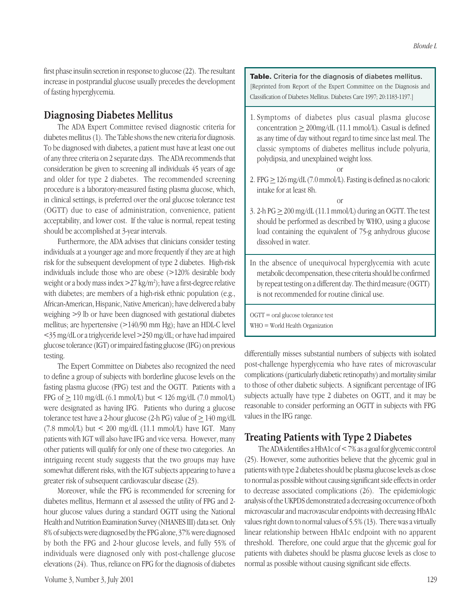first phase insulin secretion in response to glucose (22). The resultant increase in postprandial glucose usually precedes the development of fasting hyperglycemia.

## **Diagnosing Diabetes Mellitus**

The ADA Expert Committee revised diagnostic criteria for diabetes mellitus (1). The Table shows the new criteria for diagnosis. To be diagnosed with diabetes, a patient must have at least one out of any three criteria on 2 separate days. The ADA recommends that consideration be given to screening all individuals 45 years of age and older for type 2 diabetes. The recommended screening procedure is a laboratory-measured fasting plasma glucose, which, in clinical settings, is preferred over the oral glucose tolerance test (OGTT) due to ease of administration, convenience, patient acceptability, and lower cost. If the value is normal, repeat testing should be accomplished at 3-year intervals.

Furthermore, the ADA advises that clinicians consider testing individuals at a younger age and more frequently if they are at high risk for the subsequent development of type 2 diabetes. High-risk individuals include those who are obese (>120% desirable body weight or a body mass index >27 kg/m2 ); have a first-degree relative with diabetes; are members of a high-risk ethnic population (e.g., African-American, Hispanic, Native American); have delivered a baby weighing >9 lb or have been diagnosed with gestational diabetes mellitus; are hypertensive (>140/90 mm Hg); have an HDL-C level <35 mg/dL or a triglyceride level >250 mg/dL; or have had impaired glucose tolerance (IGT) or impaired fasting glucose (IFG) on previous testing.

The Expert Committee on Diabetes also recognized the need to define a group of subjects with borderline glucose levels on the fasting plasma glucose (FPG) test and the OGTT. Patients with a FPG of  $\geq$  110 mg/dL (6.1 mmol/L) but < 126 mg/dL (7.0 mmol/L) were designated as having IFG. Patients who during a glucose tolerance test have a 2-hour glucose (2-h PG) value of  $\geq 140$  mg/dL (7.8 mmol/L) but  $\lt$  200 mg/dL (11.1 mmol/L) have IGT. Many patients with IGT will also have IFG and vice versa. However, many other patients will qualify for only one of these two categories. An intriguing recent study suggests that the two groups may have somewhat different risks, with the IGT subjects appearing to have a greater risk of subsequent cardiovascular disease (23).

Moreover, while the FPG is recommended for screening for diabetes mellitus, Hermann et al assessed the utility of FPG and 2 hour glucose values during a standard OGTT using the National Health and Nutrition Examination Survey (NHANES III) data set. Only 8% of subjects were diagnosed by the FPG alone, 37% were diagnosed by both the FPG and 2-hour glucose levels, and fully 55% of individuals were diagnosed only with post-challenge glucose elevations (24). Thus, reliance on FPG for the diagnosis of diabetes **Table.** Criteria for the diagnosis of diabetes mellitus. [Reprinted from Report of the Expert Committee on the Diagnosis and Classification of Diabetes Mellitus. Diabetes Care 1997; 20:1183-1197.]

1. Symptoms of diabetes plus casual plasma glucose concentration  $\geq$  200mg/dL (11.1 mmol/L). Casual is defined as any time of day without regard to time since last meal. The classic symptoms of diabetes mellitus include polyuria, polydipsia, and unexplained weight loss.

or

2. FPG  $\geq$  126 mg/dL (7.0 mmol/L). Fasting is defined as no caloric intake for at least 8h.

or

- 3. 2-h  $PG \ge 200$  mg/dL (11.1 mmol/L) during an OGTT. The test should be performed as described by WHO, using a glucose load containing the equivalent of 75-g anhydrous glucose dissolved in water.
- In the absence of unequivocal hyperglycemia with acute metabolic decompensation, these criteria should be confirmed by repeat testing on a different day. The third measure (OGTT) is not recommended for routine clinical use.

OGTT = oral glucose tolerance test WHO = World Health Organization

differentially misses substantial numbers of subjects with isolated post-challenge hyperglycemia who have rates of microvascular complications (particularly diabetic retinopathy) and mortality similar to those of other diabetic subjects. A significant percentage of IFG subjects actually have type 2 diabetes on OGTT, and it may be reasonable to consider performing an OGTT in subjects with FPG values in the IFG range.

### **Treating Patients with Type 2 Diabetes**

The ADA identifies a HbA1c of < 7% as a goal for glycemic control (25). However, some authorities believe that the glycemic goal in patients with type 2 diabetes should be plasma glucose levels as close to normal as possible without causing significant side effects in order to decrease associated complications (26). The epidemiologic analysis of the UKPDS demonstrated a decreasing occurrence of both microvascular and macrovascular endpoints with decreasing HbA1c values right down to normal values of 5.5% (13). There was a virtually linear relationship between HbA1c endpoint with no apparent threshold. Therefore, one could argue that the glycemic goal for patients with diabetes should be plasma glucose levels as close to normal as possible without causing significant side effects.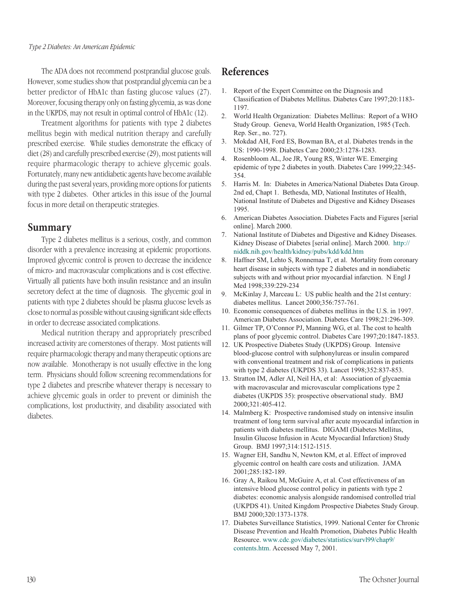The ADA does not recommend postprandial glucose goals. However, some studies show that postprandial glycemia can be a better predictor of HbA1c than fasting glucose values (27). Moreover, focusing therapy only on fasting glycemia, as was done in the UKPDS, may not result in optimal control of HbA1c (12).

Treatment algorithms for patients with type 2 diabetes mellitus begin with medical nutrition therapy and carefully prescribed exercise. While studies demonstrate the efficacy of diet (28) and carefully prescribed exercise (29), most patients will require pharmacologic therapy to achieve glycemic goals. Fortunately, many new antidiabetic agents have become available during the past several years, providing more options for patients with type 2 diabetes. Other articles in this issue of the Journal focus in more detail on therapeutic strategies.

#### **Summary**

Type 2 diabetes mellitus is a serious, costly, and common disorder with a prevalence increasing at epidemic proportions. Improved glycemic control is proven to decrease the incidence of micro- and macrovascular complications and is cost effective. Virtually all patients have both insulin resistance and an insulin secretory defect at the time of diagnosis. The glycemic goal in patients with type 2 diabetes should be plasma glucose levels as close to normal as possible without causing significant side effects in order to decrease associated complications.

Medical nutrition therapy and appropriately prescribed increased activity are cornerstones of therapy. Most patients will require pharmacologic therapy and many therapeutic options are now available. Monotherapy is not usually effective in the long term. Physicians should follow screening recommendations for type 2 diabetes and prescribe whatever therapy is necessary to achieve glycemic goals in order to prevent or diminish the complications, lost productivity, and disability associated with diabetes.

#### **References**

- 1. Report of the Expert Committee on the Diagnosis and Classification of Diabetes Mellitus. Diabetes Care 1997;20:1183- 1197.
- 2. World Health Organization: Diabetes Mellitus: Report of a WHO Study Group. Geneva, World Health Organization, 1985 (Tech. Rep. Ser., no. 727).
- 3. Mokdad AH, Ford ES, Bowman BA, et al. Diabetes trends in the US: 1990-1998. Diabetes Care 2000;23:1278-1283.
- 4. Rosenbloom AL, Joe JR, Young RS, Winter WE. Emerging epidemic of type 2 diabetes in youth. Diabetes Care 1999;22:345- 354.
- 5. Harris M. In: Diabetes in America/National Diabetes Data Group. 2nd ed, Chapt 1. Bethesda, MD, National Institutes of Health, National Institute of Diabetes and Digestive and Kidney Diseases 1995.
- 6. American Diabetes Association. Diabetes Facts and Figures [serial online]. March 2000.
- 7. National Institute of Diabetes and Digestive and Kidney Diseases. Kidney Disease of Diabetes [serial online]. March 2000. http:// niddk.nih.gov/health/kidney/pubs/kdd/kdd.htm
- 8. Haffner SM, Lehto S, Ronnemaa T, et al. Mortality from coronary heart disease in subjects with type 2 diabetes and in nondiabetic subjects with and without prior myocardial infarction. N Engl J Med 1998;339:229-234
- 9. McKinlay J, Marceau L: US public health and the 21st century: diabetes mellitus. Lancet 2000;356:757-761.
- 10. Economic consequences of diabetes mellitus in the U.S. in 1997. American Diabetes Association. Diabetes Care 1998;21:296-309.
- 11. Gilmer TP, O'Connor PJ, Manning WG, et al. The cost to health plans of poor glycemic control. Diabetes Care 1997;20:1847-1853.
- 12. UK Prospective Diabetes Study (UKPDS) Group. Intensive blood-glucose control with sulphonylureas or insulin compared with conventional treatment and risk of complications in patients with type 2 diabetes (UKPDS 33). Lancet 1998;352:837-853.
- 13. Stratton IM, Adler AI, Neil HA, et al: Association of glycaemia with macrovascular and microvascular complications type 2 diabetes (UKPDS 35): prospective observational study. BMJ 2000;321:405-412.
- 14. Malmberg K: Prospective randomised study on intensive insulin treatment of long term survival after acute myocardial infarction in patients with diabetes mellitus. DIGAMI (Diabetes Mellitus, Insulin Glucose Infusion in Acute Myocardial Infarction) Study Group. BMJ 1997;314:1512-1515.
- 15. Wagner EH, Sandhu N, Newton KM, et al. Effect of improved glycemic control on health care costs and utilization. JAMA 2001;285:182-189.
- 16. Gray A, Raikou M, McGuire A, et al. Cost effectiveness of an intensive blood glucose control policy in patients with type 2 diabetes: economic analysis alongside randomised controlled trial (UKPDS 41). United Kingdom Prospective Diabetes Study Group. BMJ 2000;320:1373-1378.
- 17. Diabetes Surveillance Statistics, 1999. National Center for Chronic Disease Prevention and Health Promotion, Diabetes Public Health Resource. www.cdc.gov/diabetes/statistics/survl99/chap9/ contents.htm. Accessed May 7, 2001.